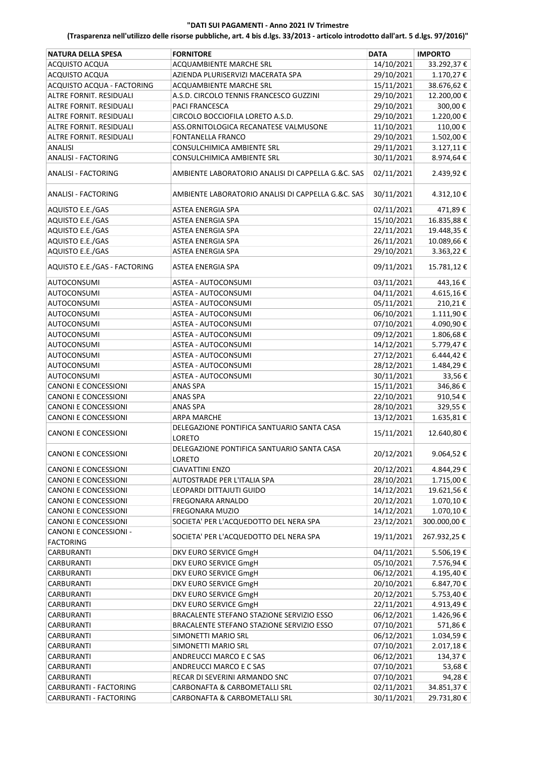| <b>NATURA DELLA SPESA</b>                         | <b>FORNITORE</b>                                            | <b>DATA</b> | <b>IMPORTO</b> |
|---------------------------------------------------|-------------------------------------------------------------|-------------|----------------|
| ACQUISTO ACQUA                                    | <b>ACQUAMBIENTE MARCHE SRL</b>                              | 14/10/2021  | 33.292,37€     |
| ACQUISTO ACQUA                                    | AZIENDA PLURISERVIZI MACERATA SPA                           | 29/10/2021  | 1.170,27€      |
| ACQUISTO ACQUA - FACTORING                        | ACQUAMBIENTE MARCHE SRL                                     | 15/11/2021  | 38.676,62€     |
| ALTRE FORNIT. RESIDUALI                           | A.S.D. CIRCOLO TENNIS FRANCESCO GUZZINI                     | 29/10/2021  | 12.200,00€     |
| ALTRE FORNIT. RESIDUALI                           | <b>PACI FRANCESCA</b>                                       | 29/10/2021  | 300,00€        |
| ALTRE FORNIT. RESIDUALI                           | CIRCOLO BOCCIOFILA LORETO A.S.D.                            | 29/10/2021  | 1.220,00 €     |
|                                                   |                                                             |             |                |
| ALTRE FORNIT. RESIDUALI                           | ASS.ORNITOLOGICA RECANATESE VALMUSONE                       | 11/10/2021  | 110,00€        |
| ALTRE FORNIT. RESIDUALI                           | FONTANELLA FRANCO                                           | 29/10/2021  | 1.502,00€      |
| <b>ANALISI</b>                                    | <b>CONSULCHIMICA AMBIENTE SRL</b>                           | 29/11/2021  | 3.127,11€      |
| <b>ANALISI - FACTORING</b>                        | CONSULCHIMICA AMBIENTE SRL                                  | 30/11/2021  | 8.974,64€      |
| <b>ANALISI - FACTORING</b>                        | AMBIENTE LABORATORIO ANALISI DI CAPPELLA G.&C. SAS          | 02/11/2021  | 2.439,92€      |
| <b>ANALISI - FACTORING</b>                        | AMBIENTE LABORATORIO ANALISI DI CAPPELLA G.&C. SAS          | 30/11/2021  | 4.312,10€      |
| AQUISTO E.E./GAS                                  | ASTEA ENERGIA SPA                                           | 02/11/2021  | 471,89€        |
| AQUISTO E.E./GAS                                  | <b>ASTEA ENERGIA SPA</b>                                    | 15/10/2021  | 16.835,88€     |
| AQUISTO E.E./GAS                                  | ASTEA ENERGIA SPA                                           | 22/11/2021  | 19.448,35€     |
| AQUISTO E.E./GAS                                  | <b>ASTEA ENERGIA SPA</b>                                    | 26/11/2021  | 10.089,66€     |
| AQUISTO E.E./GAS                                  | <b>ASTEA ENERGIA SPA</b>                                    | 29/10/2021  | 3.363,22€      |
| AQUISTO E.E./GAS - FACTORING                      | ASTEA ENERGIA SPA                                           | 09/11/2021  | 15.781,12€     |
| AUTOCONSUMI                                       | ASTEA - AUTOCONSUMI                                         | 03/11/2021  | 443,16€        |
| AUTOCONSUMI                                       | ASTEA - AUTOCONSUMI                                         | 04/11/2021  | 4.615,16€      |
| <b>AUTOCONSUMI</b>                                | ASTEA - AUTOCONSUMI                                         | 05/11/2021  | 210,21€        |
| AUTOCONSUMI                                       | ASTEA - AUTOCONSUMI                                         | 06/10/2021  | 1.111,90€      |
| AUTOCONSUMI                                       | ASTEA - AUTOCONSUMI                                         | 07/10/2021  | 4.090,90€      |
| AUTOCONSUMI                                       | ASTEA - AUTOCONSUMI                                         | 09/12/2021  | 1.806,68€      |
| AUTOCONSUMI                                       | ASTEA - AUTOCONSUMI                                         | 14/12/2021  | 5.779,47€      |
|                                                   |                                                             |             |                |
| <b>AUTOCONSUMI</b>                                | ASTEA - AUTOCONSUMI                                         | 27/12/2021  | 6.444,42€      |
| AUTOCONSUMI                                       | ASTEA - AUTOCONSUMI                                         | 28/12/2021  | 1.484,29€      |
| AUTOCONSUMI                                       | ASTEA - AUTOCONSUMI                                         | 30/11/2021  | 33,56€         |
| CANONI E CONCESSIONI                              | ANAS SPA                                                    | 15/11/2021  | 346,86€        |
| CANONI E CONCESSIONI                              | <b>ANAS SPA</b>                                             | 22/10/2021  | 910,54€        |
| CANONI E CONCESSIONI                              | ANAS SPA                                                    | 28/10/2021  | 329,55€        |
| <b>CANONI E CONCESSIONI</b>                       | <b>ARPA MARCHE</b>                                          | 13/12/2021  | 1.635,81€      |
| CANONI E CONCESSIONI                              | DELEGAZIONE PONTIFICA SANTUARIO SANTA CASA<br><b>LORETO</b> | 15/11/2021  | 12.640,80€     |
| CANONI E CONCESSIONI                              | DELEGAZIONE PONTIFICA SANTUARIO SANTA CASA<br>LORETO        | 20/12/2021  | 9.064,52€      |
| <b>CANONI E CONCESSIONI</b>                       | <b>CIAVATTINI ENZO</b>                                      | 20/12/2021  | 4.844,29€      |
| CANONI E CONCESSIONI                              | AUTOSTRADE PER L'ITALIA SPA                                 | 28/10/2021  | 1.715,00€      |
| CANONI E CONCESSIONI                              | LEOPARDI DITTAJUTI GUIDO                                    | 14/12/2021  | 19.621,56€     |
| CANONI E CONCESSIONI                              | FREGONARA ARNALDO                                           | 20/12/2021  | 1.070,10€      |
| CANONI E CONCESSIONI                              | <b>FREGONARA MUZIO</b>                                      | 14/12/2021  | 1.070,10€      |
| CANONI E CONCESSIONI                              | SOCIETA' PER L'ACQUEDOTTO DEL NERA SPA                      | 23/12/2021  | 300.000,00€    |
| <b>CANONI E CONCESSIONI -</b><br><b>FACTORING</b> | SOCIETA' PER L'ACQUEDOTTO DEL NERA SPA                      | 19/11/2021  | 267.932,25€    |
| <b>CARBURANTI</b>                                 | DKV EURO SERVICE GmgH                                       | 04/11/2021  | 5.506,19€      |
| <b>CARBURANTI</b>                                 | DKV EURO SERVICE GmgH                                       | 05/10/2021  | 7.576,94€      |
| CARBURANTI                                        | DKV EURO SERVICE GmgH                                       | 06/12/2021  | 4.195,40€      |
| <b>CARBURANTI</b>                                 | DKV EURO SERVICE GmgH                                       | 20/10/2021  | 6.847,70€      |
| <b>CARBURANTI</b>                                 | DKV EURO SERVICE GmgH                                       | 20/12/2021  | 5.753,40€      |
| CARBURANTI                                        | DKV EURO SERVICE GmgH                                       | 22/11/2021  | 4.913,49€      |
| <b>CARBURANTI</b>                                 | BRACALENTE STEFANO STAZIONE SERVIZIO ESSO                   | 06/12/2021  | 1.426,96€      |
| <b>CARBURANTI</b>                                 | BRACALENTE STEFANO STAZIONE SERVIZIO ESSO                   | 07/10/2021  | 571,86€        |
|                                                   |                                                             |             |                |
| <b>CARBURANTI</b>                                 | SIMONETTI MARIO SRL                                         | 06/12/2021  | 1.034,59€      |
| CARBURANTI                                        | SIMONETTI MARIO SRL                                         | 07/10/2021  | 2.017,18€      |
| <b>CARBURANTI</b>                                 | ANDREUCCI MARCO E C SAS                                     | 06/12/2021  | 134,37€        |
| <b>CARBURANTI</b>                                 | ANDREUCCI MARCO E C SAS                                     | 07/10/2021  | 53,68€         |
| CARBURANTI                                        | RECAR DI SEVERINI ARMANDO SNC                               | 07/10/2021  | 94,28€         |
| CARBURANTI - FACTORING                            | CARBONAFTA & CARBOMETALLI SRL                               | 02/11/2021  | 34.851,37€     |
| CARBURANTI - FACTORING                            | CARBONAFTA & CARBOMETALLI SRL                               | 30/11/2021  | 29.731,80€     |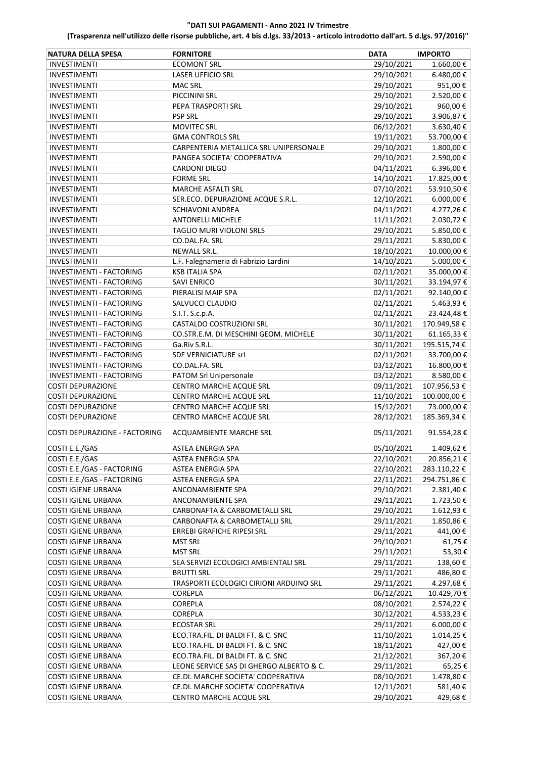| <b>NATURA DELLA SPESA</b>       | <b>FORNITORE</b>                         | <b>DATA</b> | <b>IMPORTO</b> |
|---------------------------------|------------------------------------------|-------------|----------------|
| <b>INVESTIMENTI</b>             | <b>ECOMONT SRL</b>                       | 29/10/2021  | 1.660,00€      |
| <b>INVESTIMENTI</b>             | <b>LASER UFFICIO SRL</b>                 | 29/10/2021  | 6.480,00€      |
| <b>INVESTIMENTI</b>             | <b>MAC SRL</b>                           | 29/10/2021  | 951,00€        |
| <b>INVESTIMENTI</b>             | PICCININI SRL                            | 29/10/2021  | 2.520,00€      |
| <b>INVESTIMENTI</b>             | PEPA TRASPORTI SRL                       | 29/10/2021  | 960,00€        |
| INVESTIMENTI                    | <b>PSP SRL</b>                           | 29/10/2021  | 3.906,87€      |
| <b>INVESTIMENTI</b>             | <b>MOVITEC SRL</b>                       | 06/12/2021  | 3.630,40€      |
| <b>INVESTIMENTI</b>             | <b>GMA CONTROLS SRL</b>                  | 19/11/2021  | 53.700,00 €    |
| <b>INVESTIMENTI</b>             | CARPENTERIA METALLICA SRL UNIPERSONALE   | 29/10/2021  | 1.800,00€      |
| <b>INVESTIMENTI</b>             | PANGEA SOCIETA' COOPERATIVA              | 29/10/2021  | 2.590,00€      |
| <b>INVESTIMENTI</b>             | <b>CARDONI DIEGO</b>                     | 04/11/2021  | 6.396,00€      |
| <b>INVESTIMENTI</b>             | <b>FORME SRL</b>                         | 14/10/2021  | 17.825,00€     |
| <b>INVESTIMENTI</b>             | <b>MARCHE ASFALTI SRL</b>                | 07/10/2021  | 53.910,50€     |
| <b>INVESTIMENTI</b>             | SER.ECO. DEPURAZIONE ACQUE S.R.L.        | 12/10/2021  | $6.000,00 \in$ |
| <b>INVESTIMENTI</b>             | <b>SCHIAVONI ANDREA</b>                  | 04/11/2021  | 4.277,26€      |
| <b>INVESTIMENTI</b>             | <b>ANTONELLI MICHELE</b>                 | 11/11/2021  | 2.030,72€      |
| <b>INVESTIMENTI</b>             | TAGLIO MURI VIOLONI SRLS                 | 29/10/2021  | 5.850,00€      |
| <b>INVESTIMENTI</b>             | CO.DAL.FA. SRL                           | 29/11/2021  | 5.830,00€      |
| <b>INVESTIMENTI</b>             | NEWALL SR.L.                             | 18/10/2021  | 10.000,00€     |
| <b>INVESTIMENTI</b>             | L.F. Falegnameria di Fabrizio Lardini    | 14/10/2021  | 5.000,00€      |
| INVESTIMENTI - FACTORING        | <b>KSB ITALIA SPA</b>                    | 02/11/2021  | 35.000,00€     |
| INVESTIMENTI - FACTORING        | <b>SAVI ENRICO</b>                       | 30/11/2021  | 33.194,97€     |
| INVESTIMENTI - FACTORING        | PIERALISI MAIP SPA                       | 02/11/2021  | 92.140,00€     |
| INVESTIMENTI - FACTORING        | SALVUCCI CLAUDIO                         | 02/11/2021  | 5.463,93€      |
| INVESTIMENTI - FACTORING        | S.I.T. S.c.p.A.                          | 02/11/2021  | 23.424,48€     |
| INVESTIMENTI - FACTORING        | <b>CASTALDO COSTRUZIONI SRL</b>          | 30/11/2021  | 170.949,58€    |
| INVESTIMENTI - FACTORING        | CO.STR.E.M. DI MESCHINI GEOM. MICHELE    | 30/11/2021  | 61.165,33 €    |
| <b>INVESTIMENTI - FACTORING</b> | Ga.Riv S.R.L.                            | 30/11/2021  | 195.515,74€    |
| <b>INVESTIMENTI - FACTORING</b> | <b>SDF VERNICIATURE srl</b>              | 02/11/2021  | 33.700,00€     |
| INVESTIMENTI - FACTORING        | CO.DAL.FA. SRL                           | 03/12/2021  | 16.800,00€     |
| INVESTIMENTI - FACTORING        | PATOM Srl Unipersonale                   | 03/12/2021  | 8.580,00€      |
| <b>COSTI DEPURAZIONE</b>        | CENTRO MARCHE ACQUE SRL                  | 09/11/2021  | 107.956,53€    |
| <b>COSTI DEPURAZIONE</b>        | CENTRO MARCHE ACQUE SRL                  | 11/10/2021  | 100.000,00€    |
| <b>COSTI DEPURAZIONE</b>        | CENTRO MARCHE ACQUE SRL                  | 15/12/2021  | 73.000,00€     |
| <b>COSTI DEPURAZIONE</b>        | <b>CENTRO MARCHE ACQUE SRL</b>           | 28/12/2021  | 185.369,34€    |
| COSTI DEPURAZIONE - FACTORING   | ACQUAMBIENTE MARCHE SRL                  | 05/11/2021  | 91.554,28€     |
| COSTI E.E./GAS                  | ASTEA ENERGIA SPA                        | 05/10/2021  | 1.409,62€      |
| COSTI E.E./GAS                  | ASTEA ENERGIA SPA                        | 22/10/2021  | 20.856,21€     |
| COSTI E.E./GAS - FACTORING      | ASTEA ENERGIA SPA                        | 22/10/2021  | 283.110,22€    |
| COSTI E.E./GAS - FACTORING      | <b>ASTEA ENERGIA SPA</b>                 | 22/11/2021  | 294.751,86€    |
| <b>COSTI IGIENE URBANA</b>      | ANCONAMBIENTE SPA                        | 29/10/2021  | 2.381,40€      |
| <b>COSTI IGIENE URBANA</b>      | ANCONAMBIENTE SPA                        | 29/11/2021  | 1.723,50€      |
| <b>COSTI IGIENE URBANA</b>      | CARBONAFTA & CARBOMETALLI SRL            | 29/10/2021  | 1.612,93€      |
| <b>COSTI IGIENE URBANA</b>      | CARBONAFTA & CARBOMETALLI SRL            | 29/11/2021  | 1.850,86€      |
| COSTI IGIENE URBANA             | ERREBI GRAFICHE RIPESI SRL               | 29/11/2021  | 441,00 €       |
| COSTI IGIENE URBANA             | <b>MST SRL</b>                           | 29/10/2021  | 61,75€         |
| <b>COSTI IGIENE URBANA</b>      | <b>MST SRL</b>                           | 29/11/2021  | 53,30€         |
| <b>COSTI IGIENE URBANA</b>      | SEA SERVIZI ECOLOGICI AMBIENTALI SRL     | 29/11/2021  | 138,60€        |
| <b>COSTI IGIENE URBANA</b>      | <b>BRUTTI SRL</b>                        | 29/11/2021  | 486,80€        |
| <b>COSTI IGIENE URBANA</b>      | TRASPORTI ECOLOGICI CIRIONI ARDUINO SRL  | 29/11/2021  | 4.297,68€      |
| <b>COSTI IGIENE URBANA</b>      | COREPLA                                  | 06/12/2021  | 10.429,70€     |
| <b>COSTI IGIENE URBANA</b>      | COREPLA                                  | 08/10/2021  | 2.574,22€      |
| <b>COSTI IGIENE URBANA</b>      | COREPLA                                  | 30/12/2021  | 4.533,23€      |
| <b>COSTI IGIENE URBANA</b>      | <b>ECOSTAR SRL</b>                       | 29/11/2021  | 6.000,00 €     |
| <b>COSTI IGIENE URBANA</b>      | ECO.TRA.FIL. DI BALDI FT. & C. SNC       | 11/10/2021  | 1.014,25 €     |
| <b>COSTI IGIENE URBANA</b>      | ECO.TRA.FIL. DI BALDI FT. & C. SNC       | 18/11/2021  | 427,00€        |
| <b>COSTI IGIENE URBANA</b>      | ECO.TRA.FIL. DI BALDI FT. & C. SNC       | 21/12/2021  | 367,20€        |
| <b>COSTI IGIENE URBANA</b>      | LEONE SERVICE SAS DI GHERGO ALBERTO & C. | 29/11/2021  | 65,25€         |
| <b>COSTI IGIENE URBANA</b>      | CE.DI. MARCHE SOCIETA' COOPERATIVA       | 08/10/2021  | 1.478,80 €     |
| <b>COSTI IGIENE URBANA</b>      | CE.DI. MARCHE SOCIETA' COOPERATIVA       | 12/11/2021  | 581,40€        |
| <b>COSTI IGIENE URBANA</b>      | CENTRO MARCHE ACQUE SRL                  | 29/10/2021  | 429,68€        |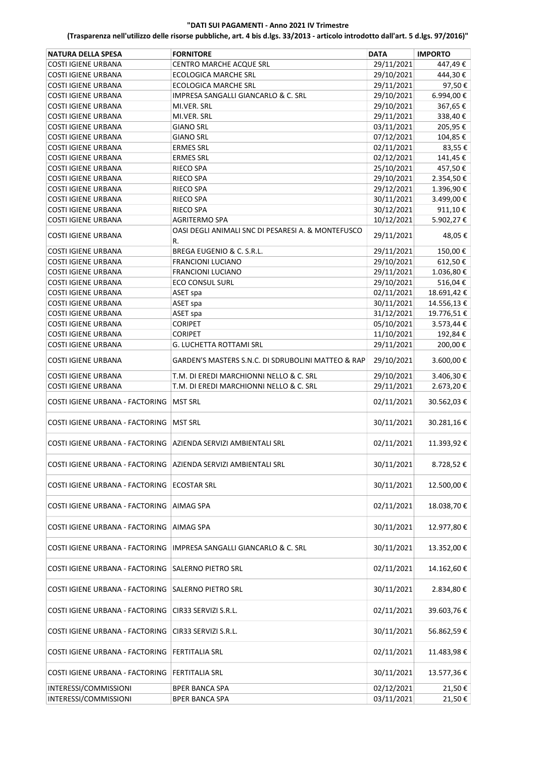| <b>NATURA DELLA SPESA</b>                                      | <b>FORNITORE</b>                                         | <b>DATA</b> | <b>IMPORTO</b> |
|----------------------------------------------------------------|----------------------------------------------------------|-------------|----------------|
| COSTI IGIENE URBANA                                            | CENTRO MARCHE ACQUE SRL                                  | 29/11/2021  | 447,49€        |
| <b>COSTI IGIENE URBANA</b>                                     | <b>ECOLOGICA MARCHE SRL</b>                              | 29/10/2021  | 444,30€        |
| <b>COSTI IGIENE URBANA</b>                                     | <b>ECOLOGICA MARCHE SRL</b>                              | 29/11/2021  | 97,50€         |
| <b>COSTI IGIENE URBANA</b>                                     | IMPRESA SANGALLI GIANCARLO & C. SRL                      | 29/10/2021  | 6.994,00€      |
| <b>COSTI IGIENE URBANA</b>                                     | MI.VER. SRL                                              | 29/10/2021  | 367,65€        |
| <b>COSTI IGIENE URBANA</b>                                     | MI.VER. SRL                                              | 29/11/2021  | 338,40€        |
| <b>COSTI IGIENE URBANA</b>                                     | <b>GIANO SRL</b>                                         | 03/11/2021  | 205,95€        |
| <b>COSTI IGIENE URBANA</b>                                     | <b>GIANO SRL</b>                                         | 07/12/2021  | 104,85€        |
| <b>COSTI IGIENE URBANA</b>                                     | <b>ERMES SRL</b>                                         | 02/11/2021  | 83,55€         |
| <b>COSTI IGIENE URBANA</b>                                     | <b>ERMES SRL</b>                                         | 02/12/2021  | 141,45€        |
| <b>COSTI IGIENE URBANA</b>                                     | RIECO SPA                                                | 25/10/2021  | 457,50€        |
| <b>COSTI IGIENE URBANA</b>                                     | RIECO SPA                                                | 29/10/2021  | 2.354,50€      |
| <b>COSTI IGIENE URBANA</b>                                     | <b>RIECO SPA</b>                                         | 29/12/2021  | 1.396,90€      |
| COSTI IGIENE URBANA                                            | RIECO SPA                                                | 30/11/2021  | 3.499,00€      |
| <b>COSTI IGIENE URBANA</b>                                     | RIECO SPA                                                | 30/12/2021  | 911,10€        |
| <b>COSTI IGIENE URBANA</b>                                     | <b>AGRITERMO SPA</b>                                     | 10/12/2021  | 5.902,27€      |
| <b>COSTI IGIENE URBANA</b>                                     | OASI DEGLI ANIMALI SNC DI PESARESI A. & MONTEFUSCO<br>R. | 29/11/2021  | 48,05€         |
| <b>COSTI IGIENE URBANA</b>                                     | BREGA EUGENIO & C. S.R.L.                                | 29/11/2021  | 150,00€        |
| <b>COSTI IGIENE URBANA</b>                                     | <b>FRANCIONI LUCIANO</b>                                 | 29/10/2021  | 612,50€        |
| <b>COSTI IGIENE URBANA</b>                                     | <b>FRANCIONI LUCIANO</b>                                 | 29/11/2021  | 1.036,80€      |
| <b>COSTI IGIENE URBANA</b>                                     | <b>ECO CONSUL SURL</b>                                   | 29/10/2021  | 516,04€        |
| <b>COSTI IGIENE URBANA</b>                                     | ASET spa                                                 | 02/11/2021  | 18.691,42€     |
| <b>COSTI IGIENE URBANA</b>                                     | ASET spa                                                 | 30/11/2021  | 14.556,13€     |
| <b>COSTI IGIENE URBANA</b>                                     | ASET spa                                                 | 31/12/2021  | 19.776,51€     |
| <b>COSTI IGIENE URBANA</b>                                     | <b>CORIPET</b>                                           | 05/10/2021  | 3.573,44€      |
| <b>COSTI IGIENE URBANA</b>                                     | <b>CORIPET</b>                                           | 11/10/2021  | 192,84€        |
| <b>COSTI IGIENE URBANA</b>                                     | G. LUCHETTA ROTTAMI SRL                                  | 29/11/2021  | 200,00€        |
| <b>COSTI IGIENE URBANA</b>                                     | GARDEN'S MASTERS S.N.C. DI SDRUBOLINI MATTEO & RAP       | 29/10/2021  | 3.600,00€      |
| <b>COSTI IGIENE URBANA</b>                                     | T.M. DI EREDI MARCHIONNI NELLO & C. SRL                  | 29/10/2021  | 3.406,30€      |
| <b>COSTI IGIENE URBANA</b>                                     | T.M. DI EREDI MARCHIONNI NELLO & C. SRL                  | 29/11/2021  | 2.673,20€      |
| COSTI IGIENE URBANA - FACTORING                                | <b>MST SRL</b>                                           | 02/11/2021  | 30.562,03€     |
| COSTI IGIENE URBANA - FACTORING                                | <b>MST SRL</b>                                           | 30/11/2021  | 30.281,16€     |
| COSTI IGIENE URBANA - FACTORING AZIENDA SERVIZI AMBIENTALI SRL |                                                          | 02/11/2021  | 11.393,92€     |
| COSTI IGIENE URBANA - FACTORING                                | AZIENDA SERVIZI AMBIENTALI SRL                           | 30/11/2021  | 8.728,52€      |
| COSTI IGIENE URBANA - FACTORING                                | <b>ECOSTAR SRL</b>                                       | 30/11/2021  | 12.500,00€     |
| COSTI IGIENE URBANA - FACTORING                                | <b>AIMAG SPA</b>                                         | 02/11/2021  | 18.038,70€     |
| COSTI IGIENE URBANA - FACTORING                                | <b>AIMAG SPA</b>                                         | 30/11/2021  | 12.977,80€     |
| COSTI IGIENE URBANA - FACTORING                                | IMPRESA SANGALLI GIANCARLO & C. SRL                      | 30/11/2021  | 13.352,00€     |
| COSTI IGIENE URBANA - FACTORING                                | SALERNO PIETRO SRL                                       | 02/11/2021  | 14.162,60€     |
| COSTI IGIENE URBANA - FACTORING                                | <b>SALERNO PIETRO SRL</b>                                | 30/11/2021  | 2.834,80€      |
| COSTI IGIENE URBANA - FACTORING                                | CIR33 SERVIZI S.R.L.                                     | 02/11/2021  | 39.603,76€     |
| COSTI IGIENE URBANA - FACTORING                                | CIR33 SERVIZI S.R.L.                                     | 30/11/2021  | 56.862,59€     |
|                                                                |                                                          |             |                |
| COSTI IGIENE URBANA - FACTORING                                | <b>FERTITALIA SRL</b>                                    | 02/11/2021  | 11.483,98€     |
| COSTI IGIENE URBANA - FACTORING                                | <b>FERTITALIA SRL</b>                                    | 30/11/2021  | 13.577,36€     |
| INTERESSI/COMMISSIONI                                          | <b>BPER BANCA SPA</b>                                    | 02/12/2021  | 21,50€         |
| INTERESSI/COMMISSIONI                                          | <b>BPER BANCA SPA</b>                                    | 03/11/2021  | 21,50€         |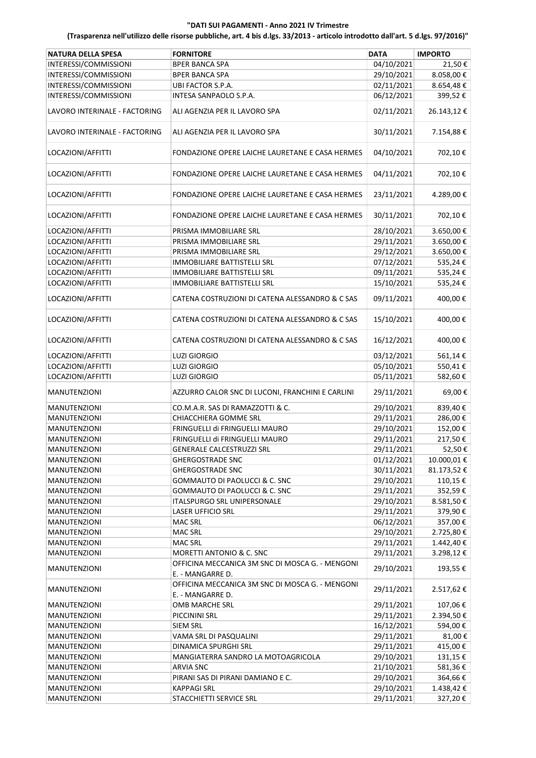| <b>NATURA DELLA SPESA</b>     | <b>FORNITORE</b>                                                            | <b>DATA</b>              | <b>IMPORTO</b>     |
|-------------------------------|-----------------------------------------------------------------------------|--------------------------|--------------------|
| INTERESSI/COMMISSIONI         | <b>BPER BANCA SPA</b>                                                       | 04/10/2021               | 21,50€             |
| INTERESSI/COMMISSIONI         | <b>BPER BANCA SPA</b>                                                       | 29/10/2021               | 8.058,00€          |
| INTERESSI/COMMISSIONI         | UBI FACTOR S.P.A.                                                           | 02/11/2021               | 8.654,48€          |
| INTERESSI/COMMISSIONI         | INTESA SANPAOLO S.P.A.                                                      | 06/12/2021               | 399,52€            |
|                               |                                                                             |                          |                    |
| LAVORO INTERINALE - FACTORING | ALI AGENZIA PER IL LAVORO SPA                                               | 02/11/2021               | 26.143,12€         |
| LAVORO INTERINALE - FACTORING | ALI AGENZIA PER IL LAVORO SPA                                               | 30/11/2021               | 7.154,88€          |
| LOCAZIONI/AFFITTI             | FONDAZIONE OPERE LAICHE LAURETANE E CASA HERMES                             | 04/10/2021               | 702,10€            |
| LOCAZIONI/AFFITTI             | FONDAZIONE OPERE LAICHE LAURETANE E CASA HERMES                             | 04/11/2021               | 702,10€            |
| LOCAZIONI/AFFITTI             | FONDAZIONE OPERE LAICHE LAURETANE E CASA HERMES                             | 23/11/2021               | 4.289,00€          |
| LOCAZIONI/AFFITTI             | FONDAZIONE OPERE LAICHE LAURETANE E CASA HERMES                             | 30/11/2021               | 702,10€            |
| LOCAZIONI/AFFITTI             | PRISMA IMMOBILIARE SRL                                                      | 28/10/2021               | 3.650,00€          |
| LOCAZIONI/AFFITTI             | PRISMA IMMOBILIARE SRL                                                      | 29/11/2021               | 3.650,00€          |
| LOCAZIONI/AFFITTI             | PRISMA IMMOBILIARE SRL                                                      | 29/12/2021               | 3.650,00€          |
| LOCAZIONI/AFFITTI             | IMMOBILIARE BATTISTELLI SRL                                                 | 07/12/2021               | 535,24€            |
| LOCAZIONI/AFFITTI             | <b>IMMOBILIARE BATTISTELLI SRL</b>                                          | 09/11/2021               | 535,24€            |
| LOCAZIONI/AFFITTI             | IMMOBILIARE BATTISTELLI SRL                                                 | 15/10/2021               | 535,24€            |
| LOCAZIONI/AFFITTI             | CATENA COSTRUZIONI DI CATENA ALESSANDRO & C SAS                             | 09/11/2021               | 400,00€            |
| LOCAZIONI/AFFITTI             | CATENA COSTRUZIONI DI CATENA ALESSANDRO & C SAS                             | 15/10/2021               | 400,00€            |
| LOCAZIONI/AFFITTI             | CATENA COSTRUZIONI DI CATENA ALESSANDRO & C SAS                             | 16/12/2021               | 400,00€            |
| LOCAZIONI/AFFITTI             | <b>LUZI GIORGIO</b>                                                         | 03/12/2021               | 561,14€            |
| LOCAZIONI/AFFITTI             | <b>LUZI GIORGIO</b>                                                         | 05/10/2021               | 550,41€            |
| LOCAZIONI/AFFITTI             | <b>LUZI GIORGIO</b>                                                         | 05/11/2021               | 582,60€            |
| <b>MANUTENZIONI</b>           | AZZURRO CALOR SNC DI LUCONI, FRANCHINI E CARLINI                            | 29/11/2021               | 69,00€             |
| MANUTENZIONI                  | CO.M.A.R. SAS DI RAMAZZOTTI & C.                                            | 29/10/2021               | 839,40€            |
| MANUTENZIONI                  | CHIACCHIERA GOMME SRL                                                       | 29/11/2021               | 286,00€            |
| MANUTENZIONI                  | FRINGUELLI di FRINGUELLI MAURO                                              | 29/10/2021               | 152,00€            |
| <b>MANUTENZIONI</b>           | FRINGUELLI di FRINGUELLI MAURO                                              | 29/11/2021               | 217,50€            |
| MANUTENZIONI                  | GENERALE CALCESTRUZZI SRL                                                   | 29/11/2021               | 52,50€             |
| <b>MANUTENZIONI</b>           |                                                                             | 01/12/2021               | 10.000,01€         |
|                               | <b>GHERGOSTRADE SNC</b>                                                     | 30/11/2021               |                    |
| <b>MANUTENZIONI</b>           | <b>GHERGOSTRADE SNC</b>                                                     | 29/10/2021               | 81.173,52€         |
| <b>MANUTENZIONI</b>           | GOMMAUTO DI PAOLUCCI & C. SNC<br><b>GOMMAUTO DI PAOLUCCI &amp; C. SNC</b>   | 29/11/2021               | 110,15€<br>352,59€ |
| <b>MANUTENZIONI</b>           |                                                                             |                          |                    |
| <b>MANUTENZIONI</b>           | ITALSPURGO SRL UNIPERSONALE                                                 | 29/10/2021               | 8.581,50€          |
| <b>MANUTENZIONI</b>           | <b>LASER UFFICIO SRL</b>                                                    | 29/11/2021               | 379,90€            |
| <b>MANUTENZIONI</b>           | <b>MAC SRL</b>                                                              | 06/12/2021               | 357,00€            |
| <b>MANUTENZIONI</b>           | <b>MAC SRL</b>                                                              | 29/10/2021<br>29/11/2021 | 2.725,80€          |
| MANUTENZIONI                  | <b>MAC SRL</b>                                                              |                          | 1.442,40 €         |
| <b>MANUTENZIONI</b>           | MORETTI ANTONIO & C. SNC<br>OFFICINA MECCANICA 3M SNC DI MOSCA G. - MENGONI | 29/11/2021               | 3.298,12€          |
| <b>MANUTENZIONI</b>           | E. - MANGARRE D.                                                            | 29/10/2021               | 193,55€            |
| <b>MANUTENZIONI</b>           | OFFICINA MECCANICA 3M SNC DI MOSCA G. - MENGONI<br>E. - MANGARRE D.         | 29/11/2021               | 2.517,62€          |
| <b>MANUTENZIONI</b>           | OMB MARCHE SRL                                                              | 29/11/2021               | 107,06€            |
| <b>MANUTENZIONI</b>           | PICCININI SRL                                                               | 29/11/2021               | 2.394,50€          |
| <b>MANUTENZIONI</b>           | <b>SIEM SRL</b>                                                             | 16/12/2021               | 594,00€            |
| <b>MANUTENZIONI</b>           | VAMA SRL DI PASQUALINI                                                      | 29/11/2021               | 81,00€             |
| <b>MANUTENZIONI</b>           | DINAMICA SPURGHI SRL                                                        | 29/11/2021               | 415,00€            |
| <b>MANUTENZIONI</b>           | MANGIATERRA SANDRO LA MOTOAGRICOLA                                          | 29/10/2021               | 131,15€            |
| <b>MANUTENZIONI</b>           | <b>ARVIA SNC</b>                                                            | 21/10/2021               | 581,36€            |
| <b>MANUTENZIONI</b>           | PIRANI SAS DI PIRANI DAMIANO E C.                                           | 29/10/2021               | 364,66€            |
| <b>MANUTENZIONI</b>           | <b>KAPPAGI SRL</b>                                                          | 29/10/2021               | 1.438,42€          |
| <b>MANUTENZIONI</b>           | STACCHIETTI SERVICE SRL                                                     | 29/11/2021               | 327,20€            |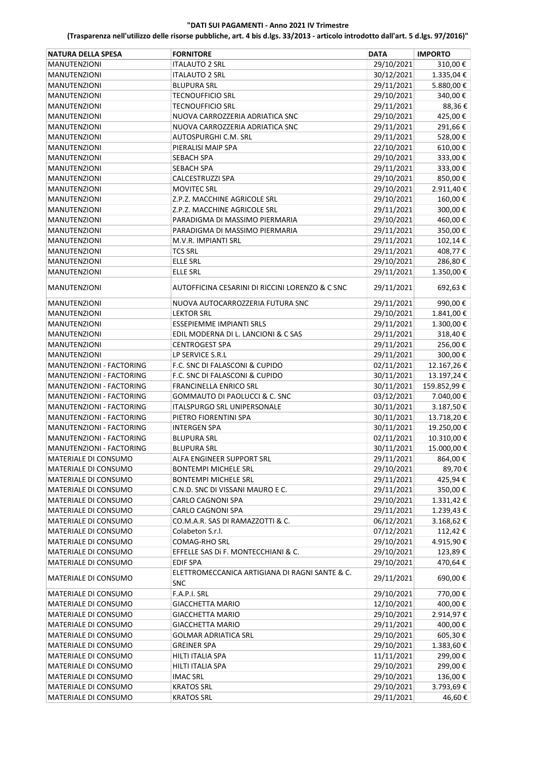| <b>NATURA DELLA SPESA</b> | <b>FORNITORE</b>                                             | <b>DATA</b>              | <b>IMPORTO</b>     |
|---------------------------|--------------------------------------------------------------|--------------------------|--------------------|
| <b>MANUTENZIONI</b>       | <b>ITALAUTO 2 SRL</b>                                        | 29/10/2021               | 310,00€            |
| <b>MANUTENZIONI</b>       | <b>ITALAUTO 2 SRL</b>                                        | 30/12/2021               | 1.335,04€          |
| MANUTENZIONI              | <b>BLUPURA SRL</b>                                           | 29/11/2021               | 5.880,00€          |
| <b>MANUTENZIONI</b>       | TECNOUFFICIO SRL                                             | 29/10/2021               | 340,00€            |
| <b>MANUTENZIONI</b>       | TECNOUFFICIO SRL                                             | 29/11/2021               | 88,36€             |
| <b>MANUTENZIONI</b>       | NUOVA CARROZZERIA ADRIATICA SNC                              | 29/10/2021               | 425,00€            |
| <b>MANUTENZIONI</b>       | NUOVA CARROZZERIA ADRIATICA SNC                              | 29/11/2021               | 291,66€            |
| <b>MANUTENZIONI</b>       | AUTOSPURGHI C.M. SRL                                         | 29/11/2021               | 528,00€            |
| <b>MANUTENZIONI</b>       | PIERALISI MAIP SPA                                           | 22/10/2021               | 610,00€            |
| <b>MANUTENZIONI</b>       | SEBACH SPA                                                   | 29/10/2021               | 333,00€            |
| <b>MANUTENZIONI</b>       | SEBACH SPA                                                   | 29/11/2021               | 333,00€            |
|                           | CALCESTRUZZI SPA                                             | 29/10/2021               | 850,00€            |
| <b>MANUTENZIONI</b>       | <b>MOVITEC SRL</b>                                           | 29/10/2021               | 2.911,40€          |
| <b>MANUTENZIONI</b>       |                                                              |                          |                    |
| <b>MANUTENZIONI</b>       | Z.P.Z. MACCHINE AGRICOLE SRL<br>Z.P.Z. MACCHINE AGRICOLE SRL | 29/10/2021<br>29/11/2021 | 160,00€<br>300,00€ |
| <b>MANUTENZIONI</b>       |                                                              |                          |                    |
| <b>MANUTENZIONI</b>       | PARADIGMA DI MASSIMO PIERMARIA                               | 29/10/2021               | 460,00€            |
| <b>MANUTENZIONI</b>       | PARADIGMA DI MASSIMO PIERMARIA                               | 29/11/2021               | 350,00€            |
| <b>MANUTENZIONI</b>       | M.V.R. IMPIANTI SRL                                          | 29/11/2021               | 102,14€            |
| MANUTENZIONI              | <b>TCS SRL</b>                                               | 29/11/2021               | 408,77€            |
| <b>MANUTENZIONI</b>       | <b>ELLE SRL</b>                                              | 29/10/2021               | 286,80€            |
| <b>MANUTENZIONI</b>       | ELLE SRL                                                     | 29/11/2021               | 1.350,00€          |
| <b>MANUTENZIONI</b>       | AUTOFFICINA CESARINI DI RICCINI LORENZO & C SNC              | 29/11/2021               | 692,63€            |
| <b>MANUTENZIONI</b>       | NUOVA AUTOCARROZZERIA FUTURA SNC                             | 29/11/2021               | 990,00€            |
| <b>MANUTENZIONI</b>       | <b>LEKTOR SRL</b>                                            | 29/10/2021               | 1.841,00€          |
| <b>MANUTENZIONI</b>       | ESSEPIEMME IMPIANTI SRLS                                     | 29/11/2021               | 1.300,00€          |
| <b>MANUTENZIONI</b>       | EDIL MODERNA DI L. LANCIONI & C SAS                          | 29/11/2021               | 318,40€            |
| <b>MANUTENZIONI</b>       | <b>CENTROGEST SPA</b>                                        | 29/11/2021               | 256,00€            |
| <b>MANUTENZIONI</b>       | LP SERVICE S.R.L                                             | 29/11/2021               | 300,00€            |
| MANUTENZIONI - FACTORING  | F.C. SNC DI FALASCONI & CUPIDO                               | 02/11/2021               | 12.167,26€         |
| MANUTENZIONI - FACTORING  | F.C. SNC DI FALASCONI & CUPIDO                               | 30/11/2021               | 13.197,24€         |
| MANUTENZIONI - FACTORING  | FRANCINELLA ENRICO SRL                                       | 30/11/2021               | 159.852,99€        |
| MANUTENZIONI - FACTORING  | <b>GOMMAUTO DI PAOLUCCI &amp; C. SNC</b>                     | 03/12/2021               | 7.040,00€          |
| MANUTENZIONI - FACTORING  | <b>ITALSPURGO SRL UNIPERSONALE</b>                           | 30/11/2021               | 3.187,50€          |
| MANUTENZIONI - FACTORING  | PIETRO FIORENTINI SPA                                        | 30/11/2021               | 13.718,20€         |
| MANUTENZIONI - FACTORING  | INTERGEN SPA                                                 | 30/11/2021               | 19.250,00€         |
| MANUTENZIONI - FACTORING  | <b>BLUPURA SRL</b>                                           | 02/11/2021               | 10.310,00€         |
| MANUTENZIONI - FACTORING  | <b>BLUPURA SRL</b>                                           | 30/11/2021               | 15.000,00 €        |
| MATERIALE DI CONSUMO      | ALFA ENGINEER SUPPORT SRL                                    | 29/11/2021               | 864,00€            |
| MATERIALE DI CONSUMO      | <b>BONTEMPI MICHELE SRL</b>                                  | 29/10/2021               | 89,70€             |
| MATERIALE DI CONSUMO      | <b>BONTEMPI MICHELE SRL</b>                                  | 29/11/2021               | 425,94€            |
| MATERIALE DI CONSUMO      | C.N.D. SNC DI VISSANI MAURO E C.                             | 29/11/2021               | 350,00€            |
| MATERIALE DI CONSUMO      | CARLO CAGNONI SPA                                            | 29/10/2021               | 1.331,42 €         |
| MATERIALE DI CONSUMO      | CARLO CAGNONI SPA                                            | 29/11/2021               | 1.239,43€          |
| MATERIALE DI CONSUMO      | CO.M.A.R. SAS DI RAMAZZOTTI & C.                             | 06/12/2021               | 3.168,62€          |
| MATERIALE DI CONSUMO      | Colabeton S.r.l.                                             | 07/12/2021               | 112,42€            |
| MATERIALE DI CONSUMO      | COMAG-RHO SRL                                                | 29/10/2021               | 4.915,90€          |
| MATERIALE DI CONSUMO      | EFFELLE SAS Di F. MONTECCHIANI & C.                          | 29/10/2021               | 123,89€            |
| MATERIALE DI CONSUMO      | EDIF SPA                                                     | 29/10/2021               | 470,64 €           |
| MATERIALE DI CONSUMO      | ELETTROMECCANICA ARTIGIANA DI RAGNI SANTE & C.<br><b>SNC</b> | 29/11/2021               | 690,00€            |
| MATERIALE DI CONSUMO      | F.A.P.I. SRL                                                 | 29/10/2021               | 770,00€            |
| MATERIALE DI CONSUMO      | <b>GIACCHETTA MARIO</b>                                      | 12/10/2021               | 400,00€            |
| MATERIALE DI CONSUMO      | <b>GIACCHETTA MARIO</b>                                      | 29/10/2021               | 2.914,97€          |
| MATERIALE DI CONSUMO      | <b>GIACCHETTA MARIO</b>                                      | 29/11/2021               | 400,00€            |
| MATERIALE DI CONSUMO      | <b>GOLMAR ADRIATICA SRL</b>                                  | 29/10/2021               | 605,30€            |
| MATERIALE DI CONSUMO      | GREINER SPA                                                  | 29/10/2021               | 1.383,60€          |
| MATERIALE DI CONSUMO      | HILTI ITALIA SPA                                             | 11/11/2021               | 299,00€            |
| MATERIALE DI CONSUMO      | HILTI ITALIA SPA                                             | 29/10/2021               | 299,00€            |
| MATERIALE DI CONSUMO      | <b>IMAC SRL</b>                                              | 29/10/2021               | 136,00€            |
| MATERIALE DI CONSUMO      | <b>KRATOS SRL</b>                                            | 29/10/2021               | 3.793,69€          |
| MATERIALE DI CONSUMO      | <b>KRATOS SRL</b>                                            | 29/11/2021               | 46,60€             |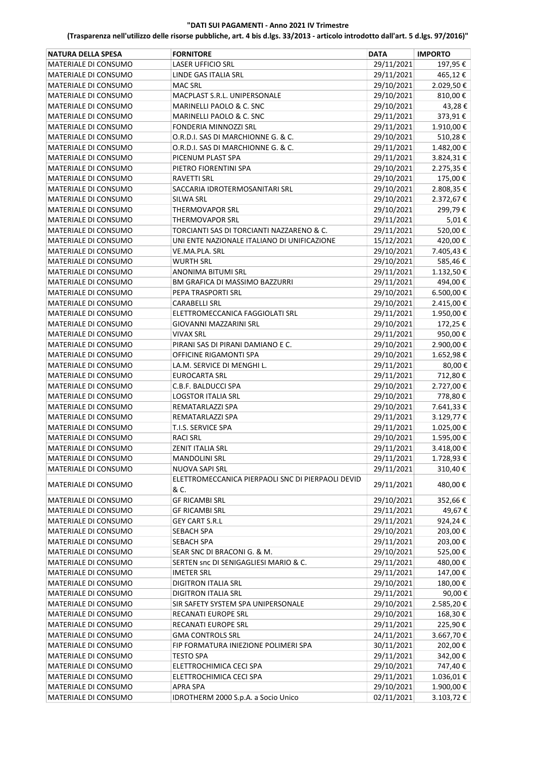| <b>NATURA DELLA SPESA</b>   | <b>FORNITORE</b>                                  | <b>DATA</b> | <b>IMPORTO</b> |
|-----------------------------|---------------------------------------------------|-------------|----------------|
| MATERIALE DI CONSUMO        | <b>LASER UFFICIO SRL</b>                          | 29/11/2021  | 197,95€        |
| MATERIALE DI CONSUMO        | LINDE GAS ITALIA SRL                              | 29/11/2021  | 465,12€        |
| MATERIALE DI CONSUMO        | <b>MAC SRL</b>                                    | 29/10/2021  | 2.029,50€      |
| MATERIALE DI CONSUMO        | MACPLAST S.R.L. UNIPERSONALE                      | 29/10/2021  | 810,00€        |
| MATERIALE DI CONSUMO        | MARINELLI PAOLO & C. SNC                          | 29/10/2021  | 43,28€         |
| MATERIALE DI CONSUMO        | MARINELLI PAOLO & C. SNC                          | 29/11/2021  | 373,91€        |
| MATERIALE DI CONSUMO        | FONDERIA MINNOZZI SRL                             | 29/11/2021  | 1.910,00€      |
| MATERIALE DI CONSUMO        | O.R.D.I. SAS DI MARCHIONNE G. & C.                | 29/10/2021  | 510,28€        |
| MATERIALE DI CONSUMO        | O.R.D.I. SAS DI MARCHIONNE G. & C.                | 29/11/2021  | 1.482,00€      |
| MATERIALE DI CONSUMO        | PICENUM PLAST SPA                                 | 29/11/2021  | 3.824,31€      |
| MATERIALE DI CONSUMO        | PIETRO FIORENTINI SPA                             | 29/10/2021  | 2.275,35€      |
| MATERIALE DI CONSUMO        | <b>RAVETTI SRL</b>                                | 29/10/2021  | 175,00€        |
| MATERIALE DI CONSUMO        | SACCARIA IDROTERMOSANITARI SRL                    | 29/10/2021  | 2.808,35€      |
| MATERIALE DI CONSUMO        | SILWA SRL                                         | 29/10/2021  | 2.372,67€      |
| MATERIALE DI CONSUMO        | <b>THERMOVAPOR SRL</b>                            | 29/10/2021  | 299,79€        |
| MATERIALE DI CONSUMO        | THERMOVAPOR SRL                                   | 29/11/2021  | 5,01€          |
| MATERIALE DI CONSUMO        | TORCIANTI SAS DI TORCIANTI NAZZARENO & C.         | 29/11/2021  | 520,00€        |
| MATERIALE DI CONSUMO        | UNI ENTE NAZIONALE ITALIANO DI UNIFICAZIONE       | 15/12/2021  | 420,00€        |
| MATERIALE DI CONSUMO        | VE.MA.PLA. SRL                                    | 29/10/2021  | 7.405,43€      |
| <b>MATERIALE DI CONSUMO</b> | <b>WURTH SRL</b>                                  | 29/10/2021  | 585,46€        |
| MATERIALE DI CONSUMO        | ANONIMA BITUMI SRL                                | 29/11/2021  | 1.132,50€      |
| MATERIALE DI CONSUMO        | <b>BM GRAFICA DI MASSIMO BAZZURRI</b>             | 29/11/2021  | 494,00€        |
| <b>MATERIALE DI CONSUMO</b> | PEPA TRASPORTI SRL                                | 29/10/2021  | 6.500,00€      |
| MATERIALE DI CONSUMO        | <b>CARABELLI SRL</b>                              | 29/10/2021  | 2.415,00 €     |
| MATERIALE DI CONSUMO        | ELETTROMECCANICA FAGGIOLATI SRL                   | 29/11/2021  | 1.950,00€      |
| MATERIALE DI CONSUMO        | GIOVANNI MAZZARINI SRL                            | 29/10/2021  | 172,25€        |
| MATERIALE DI CONSUMO        | <b>VIVAX SRL</b>                                  | 29/11/2021  | 950,00€        |
| MATERIALE DI CONSUMO        | PIRANI SAS DI PIRANI DAMIANO E C.                 | 29/10/2021  | 2.900,00€      |
| MATERIALE DI CONSUMO        | OFFICINE RIGAMONTI SPA                            | 29/10/2021  | 1.652,98€      |
| MATERIALE DI CONSUMO        | LA.M. SERVICE DI MENGHI L.                        | 29/11/2021  | 80,00€         |
| MATERIALE DI CONSUMO        | <b>EUROCARTA SRL</b>                              | 29/11/2021  | 712,80€        |
| MATERIALE DI CONSUMO        | C.B.F. BALDUCCI SPA                               | 29/10/2021  | 2.727,00€      |
| MATERIALE DI CONSUMO        | <b>LOGSTOR ITALIA SRL</b>                         | 29/10/2021  | 778,80€        |
| MATERIALE DI CONSUMO        | REMATARLAZZI SPA                                  | 29/10/2021  | 7.641,33 €     |
| MATERIALE DI CONSUMO        | REMATARLAZZI SPA                                  | 29/11/2021  | 3.129,77€      |
| MATERIALE DI CONSUMO        | T.I.S. SERVICE SPA                                | 29/11/2021  | 1.025,00€      |
| MATERIALE DI CONSUMO        | <b>RACI SRL</b>                                   | 29/10/2021  | 1.595,00€      |
| MATERIALE DI CONSUMO        | ZENIT ITALIA SRL                                  | 29/11/2021  | 3.418,00 €     |
| MATERIALE DI CONSUMO        | <b>MANDOLINI SRL</b>                              | 29/11/2021  | 1.728,93€      |
| MATERIALE DI CONSUMO        | NUOVA SAPI SRL                                    | 29/11/2021  | 310,40€        |
|                             | ELETTROMECCANICA PIERPAOLI SNC DI PIERPAOLI DEVID |             |                |
| MATERIALE DI CONSUMO        | & C.                                              | 29/11/2021  | 480,00€        |
| MATERIALE DI CONSUMO        | <b>GF RICAMBI SRL</b>                             | 29/10/2021  | 352,66€        |
| MATERIALE DI CONSUMO        | <b>GF RICAMBI SRL</b>                             | 29/11/2021  | 49,67€         |
| MATERIALE DI CONSUMO        | <b>GEY CART S.R.L</b>                             | 29/11/2021  | 924,24€        |
| MATERIALE DI CONSUMO        | SEBACH SPA                                        | 29/10/2021  | 203,00€        |
| MATERIALE DI CONSUMO        | <b>SEBACH SPA</b>                                 | 29/11/2021  | 203,00€        |
| MATERIALE DI CONSUMO        | SEAR SNC DI BRACONI G. & M.                       | 29/10/2021  | 525,00€        |
| MATERIALE DI CONSUMO        | SERTEN snc DI SENIGAGLIESI MARIO & C.             | 29/11/2021  | 480,00€        |
| MATERIALE DI CONSUMO        | <b>IMETER SRL</b>                                 | 29/11/2021  | 147,00€        |
| MATERIALE DI CONSUMO        | <b>DIGITRON ITALIA SRL</b>                        | 29/10/2021  | 180,00€        |
| MATERIALE DI CONSUMO        | <b>DIGITRON ITALIA SRL</b>                        | 29/11/2021  | 90,00€         |
| MATERIALE DI CONSUMO        | SIR SAFETY SYSTEM SPA UNIPERSONALE                | 29/10/2021  | 2.585,20€      |
| MATERIALE DI CONSUMO        | RECANATI EUROPE SRL                               | 29/10/2021  | 168,30€        |
| MATERIALE DI CONSUMO        | RECANATI EUROPE SRL                               | 29/11/2021  | 225,90€        |
| MATERIALE DI CONSUMO        | <b>GMA CONTROLS SRL</b>                           | 24/11/2021  | 3.667,70€      |
| MATERIALE DI CONSUMO        | FIP FORMATURA INIEZIONE POLIMERI SPA              | 30/11/2021  | 202,00€        |
| MATERIALE DI CONSUMO        | TESTO SPA                                         | 29/11/2021  | 342,00€        |
| MATERIALE DI CONSUMO        | ELETTROCHIMICA CECI SPA                           | 29/10/2021  | 747,40€        |
| MATERIALE DI CONSUMO        | ELETTROCHIMICA CECI SPA                           | 29/11/2021  | 1.036,01€      |
| MATERIALE DI CONSUMO        | APRA SPA                                          | 29/10/2021  | 1.900,00 €     |
| MATERIALE DI CONSUMO        | IDROTHERM 2000 S.p.A. a Socio Unico               | 02/11/2021  | 3.103,72€      |
|                             |                                                   |             |                |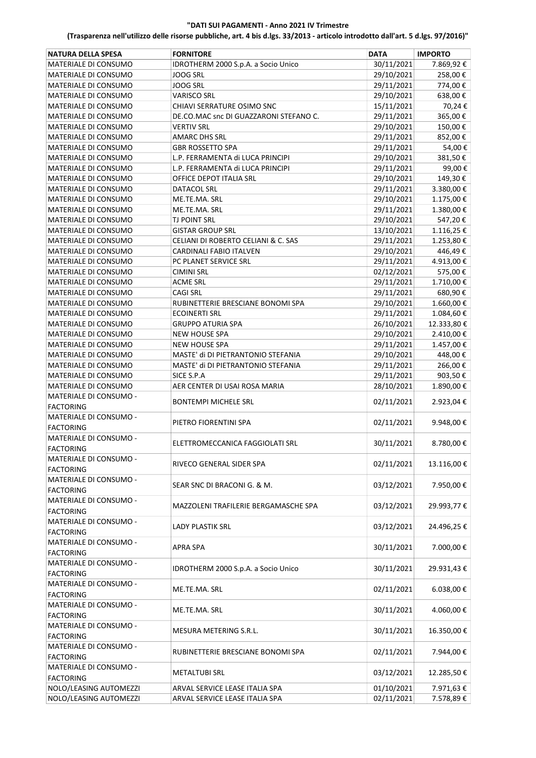| <b>NATURA DELLA SPESA</b>   | <b>FORNITORE</b>                       | <b>DATA</b> | <b>IMPORTO</b> |
|-----------------------------|----------------------------------------|-------------|----------------|
| MATERIALE DI CONSUMO        | IDROTHERM 2000 S.p.A. a Socio Unico    | 30/11/2021  | 7.869,92€      |
| MATERIALE DI CONSUMO        | <b>JOOG SRL</b>                        | 29/10/2021  | 258,00€        |
| MATERIALE DI CONSUMO        | <b>JOOG SRL</b>                        | 29/11/2021  | 774,00€        |
| MATERIALE DI CONSUMO        | <b>VARISCO SRL</b>                     | 29/10/2021  | 638,00€        |
| MATERIALE DI CONSUMO        | <b>CHIAVI SERRATURE OSIMO SNC</b>      | 15/11/2021  | 70,24€         |
| MATERIALE DI CONSUMO        | DE.CO.MAC snc DI GUAZZARONI STEFANO C. | 29/11/2021  | 365,00€        |
| MATERIALE DI CONSUMO        | <b>VERTIV SRL</b>                      | 29/10/2021  | 150,00€        |
| MATERIALE DI CONSUMO        | AMARC DHS SRL                          | 29/11/2021  | 852,00€        |
| MATERIALE DI CONSUMO        | <b>GBR ROSSETTO SPA</b>                | 29/11/2021  | 54,00€         |
| MATERIALE DI CONSUMO        | L.P. FERRAMENTA di LUCA PRINCIPI       | 29/10/2021  | 381,50€        |
| MATERIALE DI CONSUMO        | L.P. FERRAMENTA di LUCA PRINCIPI       | 29/11/2021  | 99,00€         |
| MATERIALE DI CONSUMO        | OFFICE DEPOT ITALIA SRL                | 29/10/2021  | 149,30€        |
| MATERIALE DI CONSUMO        | DATACOL SRL                            | 29/11/2021  | 3.380,00€      |
| MATERIALE DI CONSUMO        | ME.TE.MA. SRL                          | 29/10/2021  | 1.175,00€      |
| MATERIALE DI CONSUMO        | ME.TE.MA. SRL                          | 29/11/2021  | 1.380,00€      |
| MATERIALE DI CONSUMO        | TJ POINT SRL                           | 29/10/2021  | 547,20€        |
| MATERIALE DI CONSUMO        | <b>GISTAR GROUP SRL</b>                | 13/10/2021  | 1.116,25€      |
| MATERIALE DI CONSUMO        | CELIANI DI ROBERTO CELIANI & C. SAS    | 29/11/2021  | 1.253,80€      |
| MATERIALE DI CONSUMO        | CARDINALI FABIO ITALVEN                | 29/10/2021  | 446,49€        |
| MATERIALE DI CONSUMO        | PC PLANET SERVICE SRL                  | 29/11/2021  | 4.913,00€      |
| MATERIALE DI CONSUMO        | <b>CIMINI SRL</b>                      | 02/12/2021  | 575,00€        |
| MATERIALE DI CONSUMO        | ACME SRL                               | 29/11/2021  | 1.710,00€      |
| MATERIALE DI CONSUMO        | <b>CAGI SRL</b>                        | 29/11/2021  | 680,90€        |
| <b>MATERIALE DI CONSUMO</b> | RUBINETTERIE BRESCIANE BONOMI SPA      | 29/10/2021  | 1.660,00€      |
| MATERIALE DI CONSUMO        | <b>ECOINERTI SRL</b>                   | 29/11/2021  | 1.084,60€      |
| MATERIALE DI CONSUMO        | <b>GRUPPO ATURIA SPA</b>               | 26/10/2021  | 12.333,80€     |
| MATERIALE DI CONSUMO        | <b>NEW HOUSE SPA</b>                   | 29/10/2021  | 2.410,00 €     |
| MATERIALE DI CONSUMO        | <b>NEW HOUSE SPA</b>                   | 29/11/2021  | 1.457,00€      |
| MATERIALE DI CONSUMO        | MASTE' di DI PIETRANTONIO STEFANIA     | 29/10/2021  | 448,00€        |
| MATERIALE DI CONSUMO        | MASTE' di DI PIETRANTONIO STEFANIA     | 29/11/2021  | 266,00€        |
| MATERIALE DI CONSUMO        | SICE S.P.A                             | 29/11/2021  | 903,50€        |
| MATERIALE DI CONSUMO        | AER CENTER DI USAI ROSA MARIA          | 28/10/2021  | 1.890,00€      |
| MATERIALE DI CONSUMO -      | <b>BONTEMPI MICHELE SRL</b>            | 02/11/2021  | 2.923,04€      |
| <b>FACTORING</b>            |                                        |             |                |
| MATERIALE DI CONSUMO -      | PIETRO FIORENTINI SPA                  | 02/11/2021  | 9.948,00€      |
| <b>FACTORING</b>            |                                        |             |                |
| MATERIALE DI CONSUMO -      | ELETTROMECCANICA FAGGIOLATI SRL        | 30/11/2021  | 8.780,00€      |
| FACTORING                   |                                        |             |                |
| MATERIALE DI CONSUMO -      | RIVECO GENERAL SIDER SPA               | 02/11/2021  | 13.116,00€     |
| <b>FACTORING</b>            |                                        |             |                |
| MATERIALE DI CONSUMO -      | SEAR SNC DI BRACONI G. & M.            | 03/12/2021  | 7.950,00€      |
| <b>FACTORING</b>            |                                        |             |                |
| MATERIALE DI CONSUMO -      | MAZZOLENI TRAFILERIE BERGAMASCHE SPA   | 03/12/2021  | 29.993,77€     |
| <b>FACTORING</b>            |                                        |             |                |
| MATERIALE DI CONSUMO -      | LADY PLASTIK SRL                       | 03/12/2021  | 24.496,25€     |
| <b>FACTORING</b>            |                                        |             |                |
| MATERIALE DI CONSUMO -      | APRA SPA                               | 30/11/2021  | 7.000,00€      |
| <b>FACTORING</b>            |                                        |             |                |
| MATERIALE DI CONSUMO -      |                                        | 30/11/2021  | 29.931,43€     |
| <b>FACTORING</b>            | IDROTHERM 2000 S.p.A. a Socio Unico    |             |                |
| MATERIALE DI CONSUMO -      |                                        |             |                |
| <b>FACTORING</b>            | ME.TE.MA. SRL                          | 02/11/2021  | 6.038,00€      |
| MATERIALE DI CONSUMO -      |                                        |             |                |
| <b>FACTORING</b>            | ME.TE.MA. SRL                          | 30/11/2021  | 4.060,00€      |
| MATERIALE DI CONSUMO -      |                                        |             |                |
| <b>FACTORING</b>            | MESURA METERING S.R.L.                 | 30/11/2021  | 16.350,00€     |
| MATERIALE DI CONSUMO -      |                                        |             |                |
| <b>FACTORING</b>            | RUBINETTERIE BRESCIANE BONOMI SPA      | 02/11/2021  | 7.944,00€      |
| MATERIALE DI CONSUMO -      |                                        |             |                |
| <b>FACTORING</b>            | <b>METALTUBI SRL</b>                   | 03/12/2021  | 12.285,50€     |
| NOLO/LEASING AUTOMEZZI      | ARVAL SERVICE LEASE ITALIA SPA         | 01/10/2021  | 7.971,63 €     |
| NOLO/LEASING AUTOMEZZI      | ARVAL SERVICE LEASE ITALIA SPA         | 02/11/2021  | 7.578,89€      |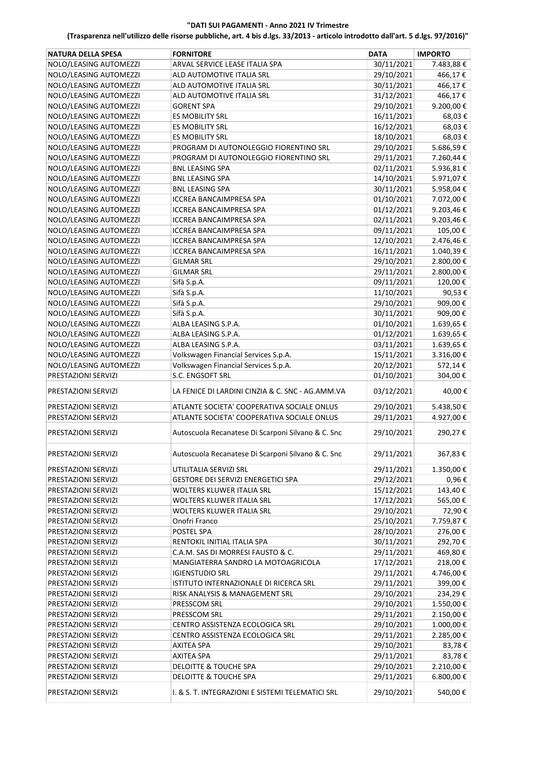| <b>NATURA DELLA SPESA</b> | <b>FORNITORE</b>                                   | <b>DATA</b> | <b>IMPORTO</b> |
|---------------------------|----------------------------------------------------|-------------|----------------|
| NOLO/LEASING AUTOMEZZI    | ARVAL SERVICE LEASE ITALIA SPA                     | 30/11/2021  | 7.483,88€      |
| NOLO/LEASING AUTOMEZZI    | ALD AUTOMOTIVE ITALIA SRL                          | 29/10/2021  | 466,17€        |
| NOLO/LEASING AUTOMEZZI    | ALD AUTOMOTIVE ITALIA SRL                          | 30/11/2021  | 466,17€        |
| NOLO/LEASING AUTOMEZZI    | ALD AUTOMOTIVE ITALIA SRL                          | 31/12/2021  | 466,17€        |
| NOLO/LEASING AUTOMEZZI    | <b>GORENT SPA</b>                                  | 29/10/2021  | 9.200,00€      |
| NOLO/LEASING AUTOMEZZI    | ES MOBILITY SRL                                    | 16/11/2021  | 68,03€         |
| NOLO/LEASING AUTOMEZZI    | ES MOBILITY SRL                                    | 16/12/2021  | 68,03€         |
| NOLO/LEASING AUTOMEZZI    | <b>ES MOBILITY SRL</b>                             | 18/10/2021  | 68,03€         |
| NOLO/LEASING AUTOMEZZI    | PROGRAM DI AUTONOLEGGIO FIORENTINO SRL             | 29/10/2021  | 5.686,59€      |
| NOLO/LEASING AUTOMEZZI    | PROGRAM DI AUTONOLEGGIO FIORENTINO SRL             | 29/11/2021  | 7.260,44€      |
| NOLO/LEASING AUTOMEZZI    | <b>BNL LEASING SPA</b>                             | 02/11/2021  | 5.936,81€      |
| NOLO/LEASING AUTOMEZZI    | <b>BNL LEASING SPA</b>                             | 14/10/2021  | 5.971,07€      |
| NOLO/LEASING AUTOMEZZI    | <b>BNL LEASING SPA</b>                             | 30/11/2021  | 5.958,04€      |
| NOLO/LEASING AUTOMEZZI    | <b>ICCREA BANCAIMPRESA SPA</b>                     | 01/10/2021  | 7.072,00€      |
| NOLO/LEASING AUTOMEZZI    | <b>ICCREA BANCAIMPRESA SPA</b>                     | 01/12/2021  | 9.203,46€      |
| NOLO/LEASING AUTOMEZZI    | <b>ICCREA BANCAIMPRESA SPA</b>                     | 02/11/2021  | 9.203,46€      |
| NOLO/LEASING AUTOMEZZI    | <b>ICCREA BANCAIMPRESA SPA</b>                     | 09/11/2021  | 105,00€        |
| NOLO/LEASING AUTOMEZZI    | <b>ICCREA BANCAIMPRESA SPA</b>                     | 12/10/2021  | 2.476,46€      |
| NOLO/LEASING AUTOMEZZI    | <b>ICCREA BANCAIMPRESA SPA</b>                     | 16/11/2021  | 1.040,39€      |
| NOLO/LEASING AUTOMEZZI    | <b>GILMAR SRL</b>                                  | 29/10/2021  | 2.800,00€      |
| NOLO/LEASING AUTOMEZZI    | <b>GILMAR SRL</b>                                  | 29/11/2021  | 2.800,00€      |
| NOLO/LEASING AUTOMEZZI    | Sifà S.p.A.                                        | 09/11/2021  | 120,00€        |
| NOLO/LEASING AUTOMEZZI    | Sifà S.p.A.                                        | 11/10/2021  | 90,53€         |
| NOLO/LEASING AUTOMEZZI    | Sifà S.p.A.                                        | 29/10/2021  | 909,00€        |
| NOLO/LEASING AUTOMEZZI    | Sifà S.p.A.                                        | 30/11/2021  | 909,00€        |
| NOLO/LEASING AUTOMEZZI    | ALBA LEASING S.P.A.                                | 01/10/2021  | 1.639,65€      |
| NOLO/LEASING AUTOMEZZI    | ALBA LEASING S.P.A.                                | 01/12/2021  | 1.639,65€      |
| NOLO/LEASING AUTOMEZZI    | ALBA LEASING S.P.A.                                | 03/11/2021  | 1.639,65€      |
| NOLO/LEASING AUTOMEZZI    | Volkswagen Financial Services S.p.A.               | 15/11/2021  | 3.316,00€      |
| NOLO/LEASING AUTOMEZZI    | Volkswagen Financial Services S.p.A.               | 20/12/2021  | 572,14€        |
| PRESTAZIONI SERVIZI       | S.C. ENGSOFT SRL                                   | 01/10/2021  | 304,00€        |
| PRESTAZIONI SERVIZI       | LA FENICE DI LARDINI CINZIA & C. SNC - AG.AMM.VA   | 03/12/2021  | 40,00€         |
| PRESTAZIONI SERVIZI       | ATLANTE SOCIETA' COOPERATIVA SOCIALE ONLUS         | 29/10/2021  | 5.438,50€      |
| PRESTAZIONI SERVIZI       | ATLANTE SOCIETA' COOPERATIVA SOCIALE ONLUS         | 29/11/2021  | 4.927,00€      |
| PRESTAZIONI SERVIZI       | Autoscuola Recanatese Di Scarponi Silvano & C. Snc | 29/10/2021  | 290,27€        |
| PRESTAZIONI SERVIZI       | Autoscuola Recanatese Di Scarponi Silvano & C. Snc | 29/11/2021  | 367,83€        |
| PRESTAZIONI SERVIZI       | UTILITALIA SERVIZI SRL                             | 29/11/2021  | 1.350,00€      |
| PRESTAZIONI SERVIZI       | GESTORE DEI SERVIZI ENERGETICI SPA                 | 29/12/2021  | 0,96€          |
| PRESTAZIONI SERVIZI       | WOLTERS KLUWER ITALIA SRL                          | 15/12/2021  | 143,40€        |
| PRESTAZIONI SERVIZI       | WOLTERS KLUWER ITALIA SRL                          | 17/12/2021  | 565,00€        |
| PRESTAZIONI SERVIZI       | <b>WOLTERS KLUWER ITALIA SRL</b>                   | 29/10/2021  | 72,90€         |
| PRESTAZIONI SERVIZI       | Onofri Franco                                      | 25/10/2021  | 7.759,87€      |
| PRESTAZIONI SERVIZI       | POSTEL SPA                                         | 28/10/2021  | 276,00€        |
| PRESTAZIONI SERVIZI       | RENTOKIL INITIAL ITALIA SPA                        | 30/11/2021  | 292,70€        |
| PRESTAZIONI SERVIZI       | C.A.M. SAS DI MORRESI FAUSTO & C.                  | 29/11/2021  | 469,80€        |
| PRESTAZIONI SERVIZI       | MANGIATERRA SANDRO LA MOTOAGRICOLA                 | 17/12/2021  | 218,00€        |
| PRESTAZIONI SERVIZI       | <b>IGIENSTUDIO SRL</b>                             | 29/11/2021  | 4.746,00€      |
| PRESTAZIONI SERVIZI       | ISTITUTO INTERNAZIONALE DI RICERCA SRL             | 29/11/2021  | 399,00€        |
| PRESTAZIONI SERVIZI       | RISK ANALYSIS & MANAGEMENT SRL                     | 29/10/2021  | 234,29€        |
| PRESTAZIONI SERVIZI       | PRESSCOM SRL                                       | 29/10/2021  | 1.550,00€      |
| PRESTAZIONI SERVIZI       | PRESSCOM SRL                                       | 29/11/2021  | 2.150,00€      |
| PRESTAZIONI SERVIZI       | CENTRO ASSISTENZA ECOLOGICA SRL                    | 29/10/2021  | 1.000,00€      |
| PRESTAZIONI SERVIZI       | CENTRO ASSISTENZA ECOLOGICA SRL                    | 29/11/2021  | 2.285,00€      |
| PRESTAZIONI SERVIZI       | <b>AXITEA SPA</b>                                  | 29/10/2021  | 83,78€         |
| PRESTAZIONI SERVIZI       | <b>AXITEA SPA</b>                                  | 29/11/2021  | 83,78€         |
| PRESTAZIONI SERVIZI       | DELOITTE & TOUCHE SPA                              | 29/10/2021  | 2.210,00€      |
| PRESTAZIONI SERVIZI       | DELOITTE & TOUCHE SPA                              | 29/11/2021  | 6.800,00 €     |
| PRESTAZIONI SERVIZI       | I. & S. T. INTEGRAZIONI E SISTEMI TELEMATICI SRL   | 29/10/2021  | 540,00€        |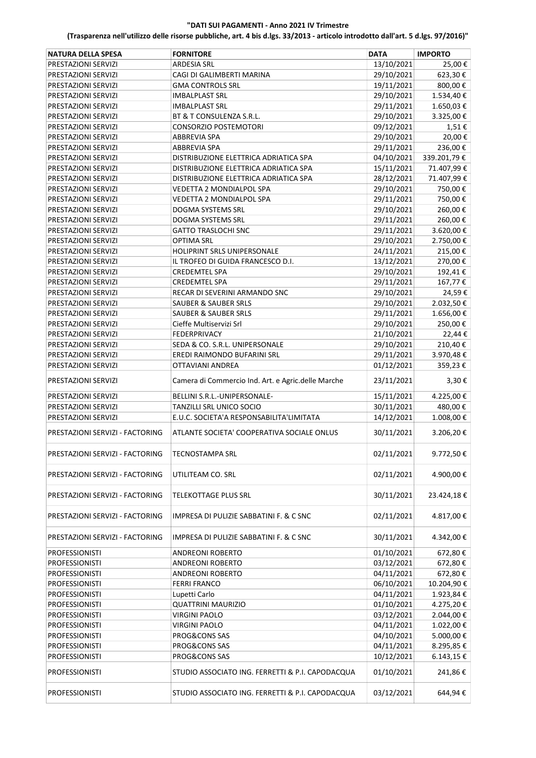| <b>NATURA DELLA SPESA</b>       | <b>FORNITORE</b>                                   | DATA       | <b>IMPORTO</b> |
|---------------------------------|----------------------------------------------------|------------|----------------|
| PRESTAZIONI SERVIZI             | <b>ARDESIA SRL</b>                                 | 13/10/2021 | 25,00€         |
| PRESTAZIONI SERVIZI             | CAGI DI GALIMBERTI MARINA                          | 29/10/2021 | 623,30€        |
| PRESTAZIONI SERVIZI             | <b>GMA CONTROLS SRL</b>                            | 19/11/2021 | 800,00€        |
| PRESTAZIONI SERVIZI             | <b>IMBALPLAST SRL</b>                              | 29/10/2021 | 1.534,40€      |
| PRESTAZIONI SERVIZI             | <b>IMBALPLAST SRL</b>                              | 29/11/2021 | 1.650,03€      |
| PRESTAZIONI SERVIZI             | BT & T CONSULENZA S.R.L.                           | 29/10/2021 | 3.325,00€      |
| PRESTAZIONI SERVIZI             | CONSORZIO POSTEMOTORI                              | 09/12/2021 | 1,51€          |
| PRESTAZIONI SERVIZI             | ABBREVIA SPA                                       | 29/10/2021 | 20,00€         |
| PRESTAZIONI SERVIZI             | <b>ABBREVIA SPA</b>                                | 29/11/2021 | 236,00€        |
| PRESTAZIONI SERVIZI             | DISTRIBUZIONE ELETTRICA ADRIATICA SPA              | 04/10/2021 | 339.201,79€    |
| PRESTAZIONI SERVIZI             | DISTRIBUZIONE ELETTRICA ADRIATICA SPA              | 15/11/2021 | 71.407,99€     |
| PRESTAZIONI SERVIZI             | DISTRIBUZIONE ELETTRICA ADRIATICA SPA              | 28/12/2021 | 71.407,99€     |
| PRESTAZIONI SERVIZI             | <b>VEDETTA 2 MONDIALPOL SPA</b>                    | 29/10/2021 | 750,00€        |
| PRESTAZIONI SERVIZI             | VEDETTA 2 MONDIALPOL SPA                           | 29/11/2021 | 750,00€        |
| PRESTAZIONI SERVIZI             | DOGMA SYSTEMS SRL                                  | 29/10/2021 | 260,00€        |
| PRESTAZIONI SERVIZI             | DOGMA SYSTEMS SRL                                  | 29/11/2021 | 260,00€        |
| PRESTAZIONI SERVIZI             | <b>GATTO TRASLOCHI SNC</b>                         | 29/11/2021 | 3.620,00€      |
| PRESTAZIONI SERVIZI             | <b>OPTIMA SRL</b>                                  | 29/10/2021 | 2.750,00€      |
| PRESTAZIONI SERVIZI             | HOLIPRINT SRLS UNIPERSONALE                        | 24/11/2021 | 215,00€        |
| PRESTAZIONI SERVIZI             | IL TROFEO DI GUIDA FRANCESCO D.I.                  | 13/12/2021 | 270,00€        |
| PRESTAZIONI SERVIZI             | <b>CREDEMTEL SPA</b>                               | 29/10/2021 | 192,41€        |
| PRESTAZIONI SERVIZI             | <b>CREDEMTEL SPA</b>                               | 29/11/2021 | 167,77€        |
| PRESTAZIONI SERVIZI             | RECAR DI SEVERINI ARMANDO SNC                      | 29/10/2021 | 24,59€         |
| PRESTAZIONI SERVIZI             | <b>SAUBER &amp; SAUBER SRLS</b>                    | 29/10/2021 | 2.032,50€      |
| PRESTAZIONI SERVIZI             | <b>SAUBER &amp; SAUBER SRLS</b>                    | 29/11/2021 | 1.656,00€      |
| PRESTAZIONI SERVIZI             | Cieffe Multiservizi Srl                            | 29/10/2021 | 250,00€        |
| PRESTAZIONI SERVIZI             | FEDERPRIVACY                                       | 21/10/2021 | 22,44€         |
| PRESTAZIONI SERVIZI             | SEDA & CO. S.R.L. UNIPERSONALE                     | 29/10/2021 | 210,40€        |
| PRESTAZIONI SERVIZI             | EREDI RAIMONDO BUFARINI SRL                        | 29/11/2021 | 3.970,48€      |
| PRESTAZIONI SERVIZI             | OTTAVIANI ANDREA                                   | 01/12/2021 | 359,23€        |
|                                 |                                                    |            |                |
| PRESTAZIONI SERVIZI             | Camera di Commercio Ind. Art. e Agric.delle Marche | 23/11/2021 | 3,30€          |
| PRESTAZIONI SERVIZI             | BELLINI S.R.L.-UNIPERSONALE-                       | 15/11/2021 | 4.225,00€      |
| PRESTAZIONI SERVIZI             | TANZILLI SRL UNICO SOCIO                           | 30/11/2021 | 480,00€        |
| PRESTAZIONI SERVIZI             | E.U.C. SOCIETA'A RESPONSABILITA'LIMITATA           | 14/12/2021 | 1.008,00€      |
| PRESTAZIONI SERVIZI - FACTORING | ATLANTE SOCIETA' COOPERATIVA SOCIALE ONLUS         | 30/11/2021 | 3.206,20€      |
| PRESTAZIONI SERVIZI - FACTORING | <b>TECNOSTAMPA SRL</b>                             | 02/11/2021 | 9.772,50€      |
| PRESTAZIONI SERVIZI - FACTORING | UTILITEAM CO. SRL                                  | 02/11/2021 | 4.900,00€      |
| PRESTAZIONI SERVIZI - FACTORING | <b>TELEKOTTAGE PLUS SRL</b>                        | 30/11/2021 | 23.424,18€     |
| PRESTAZIONI SERVIZI - FACTORING | IMPRESA DI PULIZIE SABBATINI F. & C SNC            | 02/11/2021 | 4.817,00€      |
| PRESTAZIONI SERVIZI - FACTORING | IMPRESA DI PULIZIE SABBATINI F. & C SNC            | 30/11/2021 | 4.342,00€      |
| <b>PROFESSIONISTI</b>           | <b>ANDREONI ROBERTO</b>                            | 01/10/2021 | 672,80€        |
| PROFESSIONISTI                  | ANDREONI ROBERTO                                   | 03/12/2021 | 672,80€        |
| PROFESSIONISTI                  | <b>ANDREONI ROBERTO</b>                            | 04/11/2021 | 672,80€        |
| <b>PROFESSIONISTI</b>           | <b>FERRI FRANCO</b>                                | 06/10/2021 | 10.204,90€     |
| PROFESSIONISTI                  | Lupetti Carlo                                      | 04/11/2021 | 1.923,84€      |
| <b>PROFESSIONISTI</b>           | <b>QUATTRINI MAURIZIO</b>                          | 01/10/2021 | 4.275,20€      |
| <b>PROFESSIONISTI</b>           | <b>VIRGINI PAOLO</b>                               | 03/12/2021 | 2.044,00€      |
| <b>PROFESSIONISTI</b>           | <b>VIRGINI PAOLO</b>                               | 04/11/2021 | 1.022,00€      |
| <b>PROFESSIONISTI</b>           | PROG&CONS SAS                                      | 04/10/2021 | 5.000,00€      |
| <b>PROFESSIONISTI</b>           | PROG&CONS SAS                                      | 04/11/2021 | 8.295,85€      |
| PROFESSIONISTI                  | PROG&CONS SAS                                      | 10/12/2021 | 6.143,15€      |
| <b>PROFESSIONISTI</b>           | STUDIO ASSOCIATO ING. FERRETTI & P.I. CAPODACQUA   | 01/10/2021 | 241,86€        |
| <b>PROFESSIONISTI</b>           | STUDIO ASSOCIATO ING. FERRETTI & P.I. CAPODACQUA   | 03/12/2021 | 644,94€        |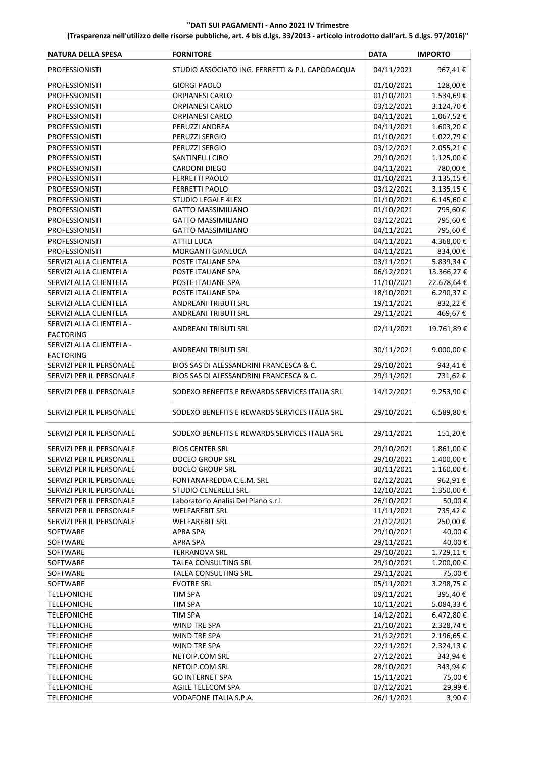| <b>NATURA DELLA SPESA</b> | <b>FORNITORE</b>                                 | DATA       | <b>IMPORTO</b> |
|---------------------------|--------------------------------------------------|------------|----------------|
| <b>PROFESSIONISTI</b>     | STUDIO ASSOCIATO ING. FERRETTI & P.I. CAPODACQUA | 04/11/2021 | 967,41€        |
| <b>PROFESSIONISTI</b>     | <b>GIORGI PAOLO</b>                              | 01/10/2021 | 128,00€        |
| <b>PROFESSIONISTI</b>     | ORPIANESI CARLO                                  | 01/10/2021 | 1.534,69€      |
| PROFESSIONISTI            | <b>ORPIANESI CARLO</b>                           | 03/12/2021 | 3.124,70€      |
| PROFESSIONISTI            | <b>ORPIANESI CARLO</b>                           | 04/11/2021 | 1.067,52€      |
| <b>PROFESSIONISTI</b>     | PERUZZI ANDREA                                   | 04/11/2021 | 1.603,20€      |
| PROFESSIONISTI            | PERUZZI SERGIO                                   | 01/10/2021 | 1.022,79€      |
| PROFESSIONISTI            | PERUZZI SERGIO                                   | 03/12/2021 | 2.055,21€      |
| PROFESSIONISTI            | SANTINELLI CIRO                                  | 29/10/2021 | 1.125,00€      |
| <b>PROFESSIONISTI</b>     | <b>CARDONI DIEGO</b>                             | 04/11/2021 | 780,00€        |
| <b>PROFESSIONISTI</b>     | <b>FERRETTI PAOLO</b>                            | 01/10/2021 | 3.135,15€      |
| <b>PROFESSIONISTI</b>     | <b>FERRETTI PAOLO</b>                            | 03/12/2021 | 3.135,15€      |
| PROFESSIONISTI            | STUDIO LEGALE 4LEX                               | 01/10/2021 | 6.145,60 €     |
| <b>PROFESSIONISTI</b>     | <b>GATTO MASSIMILIANO</b>                        | 01/10/2021 | 795,60€        |
| <b>PROFESSIONISTI</b>     | <b>GATTO MASSIMILIANO</b>                        | 03/12/2021 | 795,60€        |
| PROFESSIONISTI            | <b>GATTO MASSIMILIANO</b>                        | 04/11/2021 | 795,60€        |
| PROFESSIONISTI            | <b>ATTILI LUCA</b>                               | 04/11/2021 | 4.368,00€      |
| <b>PROFESSIONISTI</b>     | MORGANTI GIANLUCA                                | 04/11/2021 | 834,00€        |
| SERVIZI ALLA CLIENTELA    | POSTE ITALIANE SPA                               | 03/11/2021 | 5.839,34€      |
| SERVIZI ALLA CLIENTELA    | POSTE ITALIANE SPA                               | 06/12/2021 | 13.366,27€     |
| SERVIZI ALLA CLIENTELA    | POSTE ITALIANE SPA                               | 11/10/2021 | 22.678,64€     |
| SERVIZI ALLA CLIENTELA    | POSTE ITALIANE SPA                               | 18/10/2021 | 6.290,37€      |
| SERVIZI ALLA CLIENTELA    | ANDREANI TRIBUTI SRL                             | 19/11/2021 | 832,22€        |
| SERVIZI ALLA CLIENTELA    | ANDREANI TRIBUTI SRL                             | 29/11/2021 | 469,67€        |
| SERVIZI ALLA CLIENTELA -  |                                                  |            |                |
| <b>FACTORING</b>          | <b>ANDREANI TRIBUTI SRL</b>                      | 02/11/2021 | 19.761,89€     |
| SERVIZI ALLA CLIENTELA -  |                                                  |            |                |
| <b>FACTORING</b>          | ANDREANI TRIBUTI SRL                             | 30/11/2021 | 9.000,00€      |
| SERVIZI PER IL PERSONALE  | BIOS SAS DI ALESSANDRINI FRANCESCA & C.          | 29/10/2021 | 943,41€        |
| SERVIZI PER IL PERSONALE  | BIOS SAS DI ALESSANDRINI FRANCESCA & C.          | 29/11/2021 | 731,62€        |
| SERVIZI PER IL PERSONALE  | SODEXO BENEFITS E REWARDS SERVICES ITALIA SRL    | 14/12/2021 | 9.253,90€      |
| SERVIZI PER IL PERSONALE  | SODEXO BENEFITS E REWARDS SERVICES ITALIA SRL    | 29/10/2021 | 6.589,80€      |
| SERVIZI PER IL PERSONALE  | SODEXO BENEFITS E REWARDS SERVICES ITALIA SRL    | 29/11/2021 | 151,20€        |
| SERVIZI PER IL PERSONALE  | <b>BIOS CENTER SRL</b>                           | 29/10/2021 | 1.861,00€      |
| SERVIZI PER IL PERSONALE  | DOCEO GROUP SRL                                  | 29/10/2021 | 1.400,00 €     |
| SERVIZI PER IL PERSONALE  | <b>DOCEO GROUP SRL</b>                           | 30/11/2021 | 1.160,00€      |
| SERVIZI PER IL PERSONALE  | FONTANAFREDDA C.E.M. SRL                         | 02/12/2021 | 962,91€        |
| SERVIZI PER IL PERSONALE  | STUDIO CENERELLI SRL                             | 12/10/2021 | 1.350,00 €     |
| SERVIZI PER IL PERSONALE  | Laboratorio Analisi Del Piano s.r.l.             | 26/10/2021 | 50,00€         |
| SERVIZI PER IL PERSONALE  | <b>WELFAREBIT SRL</b>                            | 11/11/2021 | 735,42€        |
| SERVIZI PER IL PERSONALE  | <b>WELFAREBIT SRL</b>                            | 21/12/2021 | 250,00€        |
| SOFTWARE                  | APRA SPA                                         | 29/10/2021 | 40,00€         |
| SOFTWARE                  | <b>APRA SPA</b>                                  | 29/11/2021 | 40,00€         |
| SOFTWARE                  | <b>TERRANOVA SRL</b>                             | 29/10/2021 | 1.729,11€      |
| SOFTWARE                  | TALEA CONSULTING SRL                             | 29/10/2021 | 1.200,00€      |
| SOFTWARE                  | TALEA CONSULTING SRL                             | 29/11/2021 | 75,00€         |
| SOFTWARE                  | <b>EVOTRE SRL</b>                                | 05/11/2021 | 3.298,75€      |
| <b>TELEFONICHE</b>        | TIM SPA                                          | 09/11/2021 | 395,40€        |
| <b>TELEFONICHE</b>        | <b>TIM SPA</b>                                   | 10/11/2021 | 5.084,33 €     |
| <b>TELEFONICHE</b>        | <b>TIM SPA</b>                                   | 14/12/2021 | 6.472,80€      |
| <b>TELEFONICHE</b>        | WIND TRE SPA                                     | 21/10/2021 | 2.328,74€      |
| <b>TELEFONICHE</b>        | WIND TRE SPA                                     | 21/12/2021 | 2.196,65€      |
| <b>TELEFONICHE</b>        | WIND TRE SPA                                     | 22/11/2021 | 2.324,13€      |
| <b>TELEFONICHE</b>        | NETOIP.COM SRL                                   | 27/12/2021 | 343,94€        |
| <b>TELEFONICHE</b>        | NETOIP.COM SRL                                   | 28/10/2021 | 343,94€        |
| <b>TELEFONICHE</b>        | <b>GO INTERNET SPA</b>                           | 15/11/2021 | 75,00€         |
| <b>TELEFONICHE</b>        | AGILE TELECOM SPA                                | 07/12/2021 | 29,99€         |
| <b>TELEFONICHE</b>        | VODAFONE ITALIA S.P.A.                           | 26/11/2021 | 3,90€          |